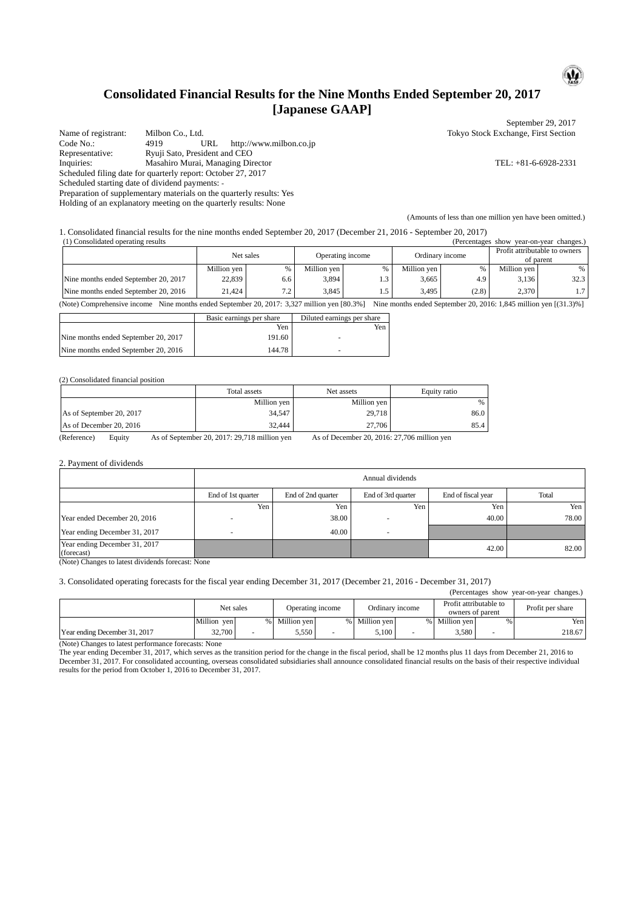# **Consolidated Financial Results for the Nine Months Ended September 20, 2017 [Japanese GAAP]**

Name of registrant: Milbon Co., Ltd. Tokyo Stock Exchange, First Section<br>
Code No.: 4919 URL http://www.milbon.co.ip http://www.milbon.co.jp Representative: Ryuji Sato, President and CEO<br>Inquiries: Masahiro Murai, Managing Directory Inquiries: Masahiro Murai, Managing Director TEL: +81-6-6928-2331 Scheduled filing date for quarterly report: October 27, 2017 Scheduled starting date of dividend payments: -

Preparation of supplementary materials on the quarterly results: Yes

Holding of an explanatory meeting on the quarterly results: None

September 29, 2017

 $\mathbf{Q}$ 

(Amounts of less than one million yen have been omitted.)

1. Consolidated financial results for the nine months ended September 20, 2017 (December 21, 2016 - September 20, 2017) (1) Consolidated operating results (Percentages show year-on-year changes.)

| (1) Consonuated oberating results<br>u viccinages show |             |      |                  |     |                 |       |                                            | vcar-on-vcar changes. |
|--------------------------------------------------------|-------------|------|------------------|-----|-----------------|-------|--------------------------------------------|-----------------------|
|                                                        | Net sales   |      | Operating income |     | Ordinary income |       | Profit attributable to owners<br>of parent |                       |
|                                                        | Million ven | $\%$ | Million ven      | %   | Million ven     | %     | Million ven                                | %                     |
| Nine months ended September 20, 2017                   | 22,839      | 6.6  | 3,894            | 1.3 | 3,665           | 4.9   | 3.136                                      | 32.3                  |
| Nine months ended September 20, 2016                   | 21.424      | 7.2  | 3.845            | 1.5 | 3.495           | (2.8) | 2.370                                      |                       |

(Note) Comprehensive income Nine months ended September 20, 2017: 3,327 million yen [80.3%] Nine months ended September 20, 2016: 1,845 million yen [(31.3)%]

|                                      | Basic earnings per share | Diluted earnings per share |
|--------------------------------------|--------------------------|----------------------------|
|                                      | Yen                      | Yen                        |
| Nine months ended September 20, 2017 | 191.60                   |                            |
| Nine months ended September 20, 2016 | 144.78                   |                            |

### (2) Consolidated financial position

|                          | Total assets | Net assets  | Equity ratio |
|--------------------------|--------------|-------------|--------------|
|                          | Million yen  | Million yen | %            |
| As of September 20, 2017 | 34,547       | 29,718      | 86.0         |
| As of December 20, 2016  | 32.444       | 27,706      | 85.4         |

(Reference) Equity As of September 20, 2017: 29,718 million yen As of December 20, 2016: 27,706 million yen

#### 2. Payment of dividends

|                                             | Annual dividends   |                    |                    |                    |       |  |  |
|---------------------------------------------|--------------------|--------------------|--------------------|--------------------|-------|--|--|
|                                             | End of 1st quarter | End of 2nd quarter | End of 3rd quarter | End of fiscal year | Total |  |  |
|                                             | Yen                | Yen                | Yen                | Yen                | Yen   |  |  |
| Year ended December 20, 2016                |                    | 38.00              |                    | 40.00              | 78.00 |  |  |
| Year ending December 31, 2017               |                    | 40.00              | <b>100</b>         |                    |       |  |  |
| Year ending December 31, 2017<br>(forecast) |                    |                    |                    | 42.00              | 82.00 |  |  |

(Note) Changes to latest dividends forecast: None

## 3. Consolidated operating forecasts for the fiscal year ending December 31, 2017 (December 21, 2016 - December 31, 2017)

| (Percentages show year-on-year changes.) |                               |   |                 |  |                                            |                 |                  |   |        |
|------------------------------------------|-------------------------------|---|-----------------|--|--------------------------------------------|-----------------|------------------|---|--------|
|                                          | Net sales<br>Operating income |   | Ordinary income |  | Profit attributable to<br>owners of parent |                 | Profit per share |   |        |
|                                          | Million yen                   | % | Million yen     |  | % Million ven                              | $\frac{0}{0}$ 1 | Million ven      | % | Yen    |
| Year ending December 31, 2017            | 32,700                        |   | 5,550           |  | 5.100                                      |                 | 3.580            |   | 218.67 |

(Note) Changes to latest performance forecasts: None

The year ending December 31, 2017, which serves as the transition period for the change in the fiscal period, shall be 12 months plus 11 days from December 21, 2016 to December 31, 2017. For consolidated accounting, overseas consolidated subsidiaries shall announce consolidated financial results on the basis of their respective individual results for the period from October 1, 2016 to December 31, 2017.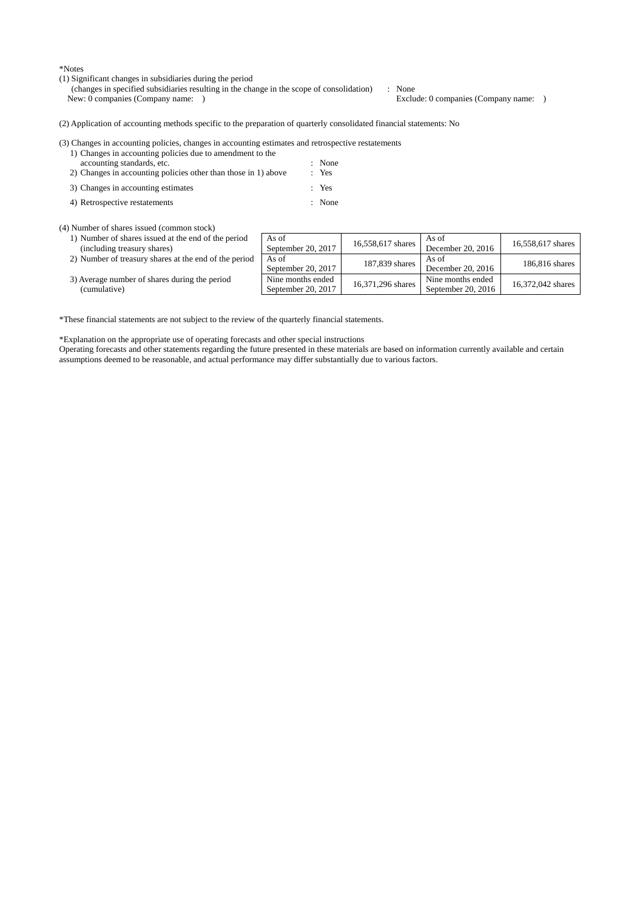\*Notes

- (1) Significant changes in subsidiaries during the period
	- (changes in specified subsidiaries resulting in the change in the scope of consolidation) : None

Exclude: 0 companies (Company name: )

(2) Application of accounting methods specific to the preparation of quarterly consolidated financial statements: No

#### (3) Changes in accounting policies, changes in accounting estimates and retrospective restatements

- 1) Changes in accounting policies due to amendment to the accounting standards, etc. : None<br>Changes in accounting policies other than those in 1) above : Yes 2) Changes in accounting policies other than those in  $1$ ) above
- 3) Changes in accounting estimates : Yes
- 4) Retrospective restatements : None

(4) Number of shares issued (common stock)

1) Number of shares issued at the end of the pe (including treasury shares) 2) Number of treasury shares at the end of the p

| riod   | As of<br>September 20, 2017             | 16,558,617 shares | As of<br>December 20, 2016              | 16,558,617 shares |
|--------|-----------------------------------------|-------------------|-----------------------------------------|-------------------|
| period | As of<br>September 20, 2017             | 187,839 shares    | As of<br>December 20, 2016              | 186,816 shares    |
|        | Nine months ended<br>September 20, 2017 | 16,371,296 shares | Nine months ended<br>September 20, 2016 | 16,372,042 shares |

3) Average number of shares during the period (cumulative)

\*These financial statements are not subject to the review of the quarterly financial statements.

\*Explanation on the appropriate use of operating forecasts and other special instructions

Operating forecasts and other statements regarding the future presented in these materials are based on information currently available and certain assumptions deemed to be reasonable, and actual performance may differ substantially due to various factors.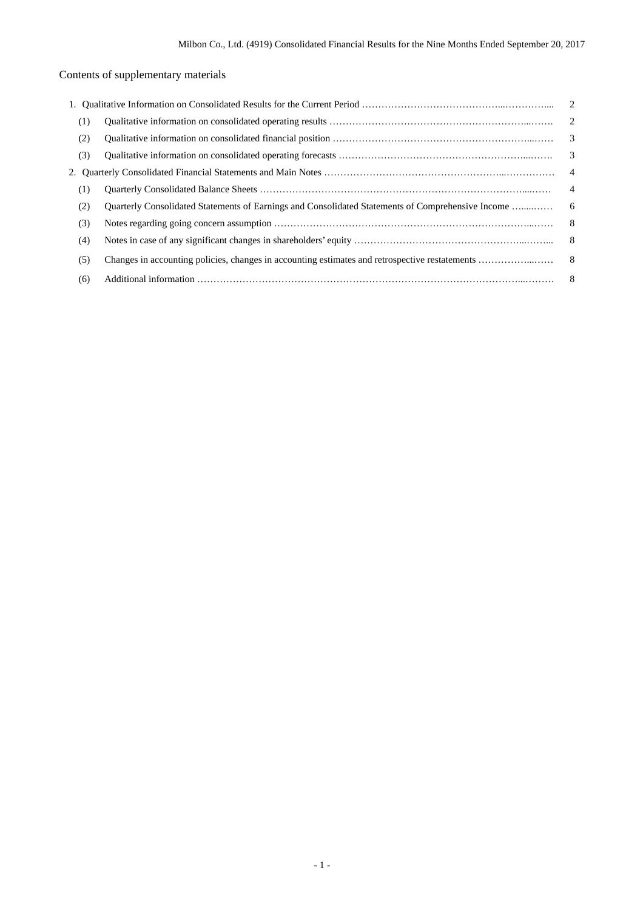# Contents of supplementary materials

| (1) |                                                                                                   |                         |
|-----|---------------------------------------------------------------------------------------------------|-------------------------|
| (2) |                                                                                                   | $\overline{\mathbf{3}}$ |
| (3) |                                                                                                   |                         |
|     |                                                                                                   | $\overline{4}$          |
| (1) |                                                                                                   | $\overline{4}$          |
| (2) | Ouarterly Consolidated Statements of Earnings and Consolidated Statements of Comprehensive Income | 6                       |
| (3) |                                                                                                   | - 8                     |
| (4) |                                                                                                   |                         |
| (5) |                                                                                                   |                         |
| (6) |                                                                                                   |                         |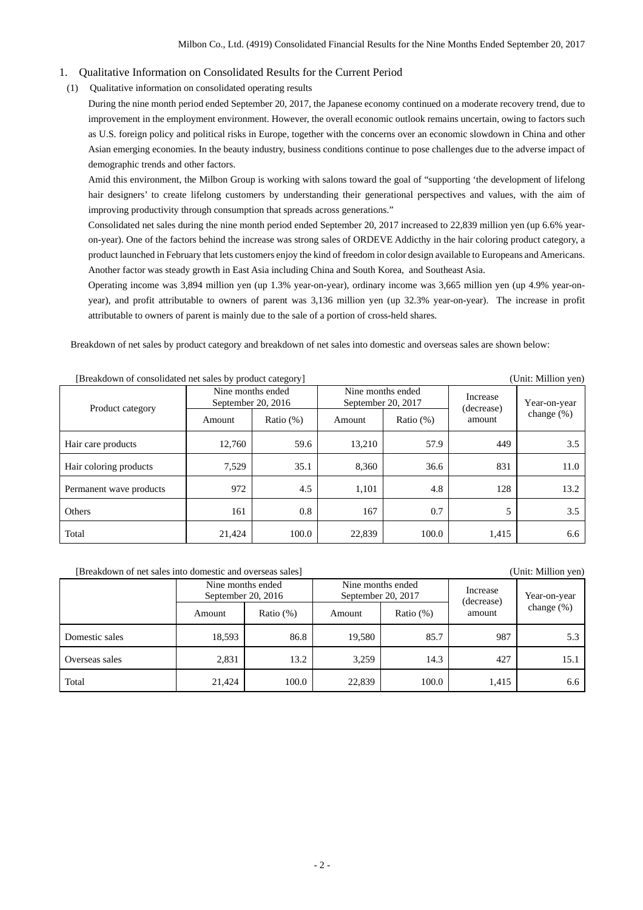## 1. Qualitative Information on Consolidated Results for the Current Period

(1) Qualitative information on consolidated operating results

During the nine month period ended September 20, 2017, the Japanese economy continued on a moderate recovery trend, due to improvement in the employment environment. However, the overall economic outlook remains uncertain, owing to factors such as U.S. foreign policy and political risks in Europe, together with the concerns over an economic slowdown in China and other Asian emerging economies. In the beauty industry, business conditions continue to pose challenges due to the adverse impact of demographic trends and other factors.

Amid this environment, the Milbon Group is working with salons toward the goal of "supporting 'the development of lifelong hair designers' to create lifelong customers by understanding their generational perspectives and values, with the aim of improving productivity through consumption that spreads across generations."

Consolidated net sales during the nine month period ended September 20, 2017 increased to 22,839 million yen (up 6.6% yearon-year). One of the factors behind the increase was strong sales of ORDEVE Addicthy in the hair coloring product category, a product launched in February that lets customers enjoy the kind of freedom in color design available to Europeans and Americans. Another factor was steady growth in East Asia including China and South Korea, and Southeast Asia.

Operating income was 3,894 million yen (up 1.3% year-on-year), ordinary income was 3,665 million yen (up 4.9% year-onyear), and profit attributable to owners of parent was 3,136 million yen (up 32.3% year-on-year). The increase in profit attributable to owners of parent is mainly due to the sale of a portion of cross-held shares.

Breakdown of net sales by product category and breakdown of net sales into domestic and overseas sales are shown below:

| preakdown of consondance not saids by product category<br>$\overline{C}$ |                                           |              |                                         |              |                        |               |
|--------------------------------------------------------------------------|-------------------------------------------|--------------|-----------------------------------------|--------------|------------------------|---------------|
| Product category                                                         | Nine months ended<br>September 20, $2016$ |              | Nine months ended<br>September 20, 2017 |              | Increase<br>(decrease) | Year-on-year  |
|                                                                          | Amount                                    | Ratio $(\%)$ | Amount                                  | Ratio $(\%)$ | amount                 | change $(\%)$ |
| Hair care products                                                       | 12,760                                    | 59.6         | 13,210                                  | 57.9         | 449                    | 3.5           |
| Hair coloring products                                                   | 7,529                                     | 35.1         | 8,360                                   | 36.6         | 831                    | 11.0          |
| Permanent wave products                                                  | 972                                       | 4.5          | 1,101                                   | 4.8          | 128                    | 13.2          |
| Others                                                                   | 161                                       | 0.8          | 167                                     | 0.7          | 5                      | 3.5           |
| Total                                                                    | 21,424                                    | 100.0        | 22,839                                  | 100.0        | 1,415                  | 6.6           |

## [Breakdown of consolidated net sales by product category] (Unit: Million yen)

## [Breakdown of net sales into domestic and overseas sales] (Unit: Million yen)

|                | Nine months ended<br>September 20, 2016 |              | September 20, 2017 | Nine months ended | Increase<br>(decrease) | Year-on-year |
|----------------|-----------------------------------------|--------------|--------------------|-------------------|------------------------|--------------|
|                | Amount                                  | Ratio $(\%)$ | Amount             | Ratio $(\%)$      | amount                 | change (%)   |
| Domestic sales | 18,593                                  | 86.8         | 19,580             | 85.7              | 987                    | 5.3          |
| Overseas sales | 2,831                                   | 13.2         | 3,259              | 14.3              | 427                    | 15.1         |
| Total          | 21.424                                  | 100.0        | 22,839             | 100.0             | 1,415                  | 6.6          |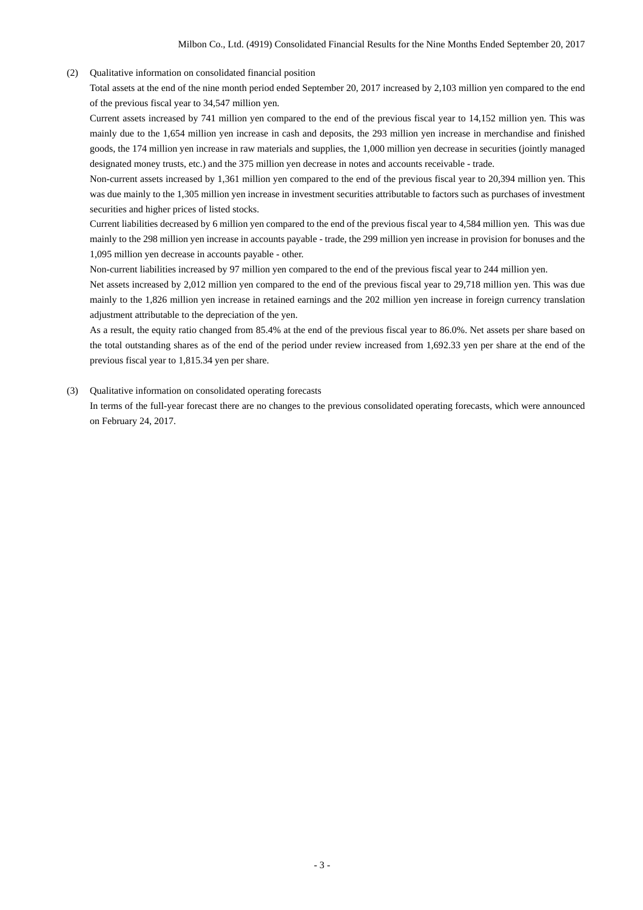(2) Qualitative information on consolidated financial position

Total assets at the end of the nine month period ended September 20, 2017 increased by 2,103 million yen compared to the end of the previous fiscal year to 34,547 million yen.

Current assets increased by 741 million yen compared to the end of the previous fiscal year to 14,152 million yen. This was mainly due to the 1,654 million yen increase in cash and deposits, the 293 million yen increase in merchandise and finished goods, the 174 million yen increase in raw materials and supplies, the 1,000 million yen decrease in securities (jointly managed designated money trusts, etc.) and the 375 million yen decrease in notes and accounts receivable - trade.

Non-current assets increased by 1,361 million yen compared to the end of the previous fiscal year to 20,394 million yen. This was due mainly to the 1,305 million yen increase in investment securities attributable to factors such as purchases of investment securities and higher prices of listed stocks.

Current liabilities decreased by 6 million yen compared to the end of the previous fiscal year to 4,584 million yen. This was due mainly to the 298 million yen increase in accounts payable - trade, the 299 million yen increase in provision for bonuses and the 1,095 million yen decrease in accounts payable - other.

Non-current liabilities increased by 97 million yen compared to the end of the previous fiscal year to 244 million yen.

Net assets increased by 2,012 million yen compared to the end of the previous fiscal year to 29,718 million yen. This was due mainly to the 1,826 million yen increase in retained earnings and the 202 million yen increase in foreign currency translation adjustment attributable to the depreciation of the yen.

As a result, the equity ratio changed from 85.4% at the end of the previous fiscal year to 86.0%. Net assets per share based on the total outstanding shares as of the end of the period under review increased from 1,692.33 yen per share at the end of the previous fiscal year to 1,815.34 yen per share.

(3) Qualitative information on consolidated operating forecasts

In terms of the full-year forecast there are no changes to the previous consolidated operating forecasts, which were announced on February 24, 2017.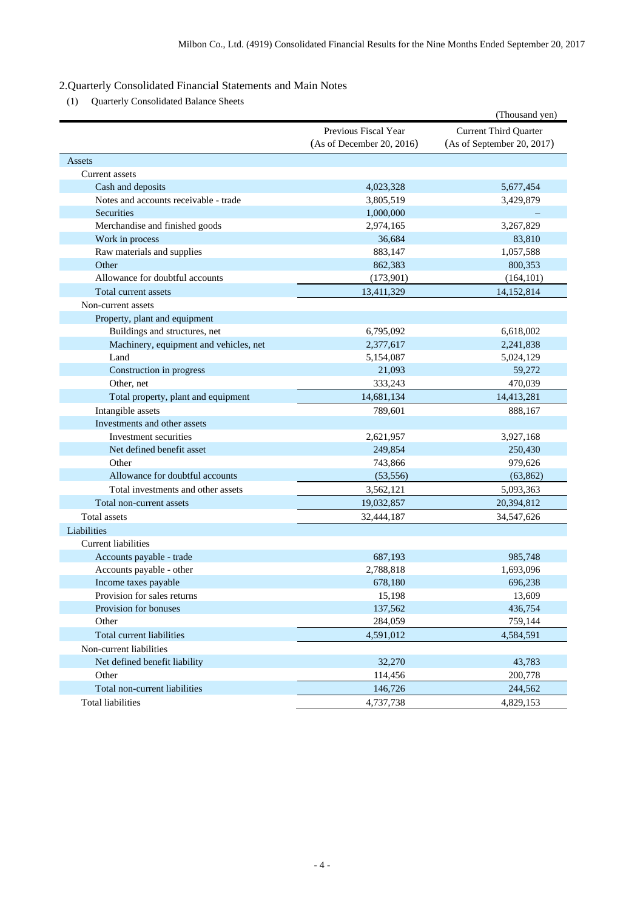# 2.Quarterly Consolidated Financial Statements and Main Notes

(1) Quarterly Consolidated Balance Sheets

|                                        |                           | (Thousand yen)               |
|----------------------------------------|---------------------------|------------------------------|
|                                        | Previous Fiscal Year      | <b>Current Third Quarter</b> |
|                                        | (As of December 20, 2016) | (As of September 20, 2017)   |
| Assets                                 |                           |                              |
| Current assets                         |                           |                              |
| Cash and deposits                      | 4,023,328                 | 5,677,454                    |
| Notes and accounts receivable - trade  | 3,805,519                 | 3,429,879                    |
| Securities                             | 1,000,000                 |                              |
| Merchandise and finished goods         | 2,974,165                 | 3,267,829                    |
| Work in process                        | 36.684                    | 83,810                       |
| Raw materials and supplies             | 883,147                   | 1,057,588                    |
| Other                                  | 862,383                   | 800,353                      |
| Allowance for doubtful accounts        | (173,901)                 | (164, 101)                   |
| Total current assets                   | 13,411,329                | 14,152,814                   |
| Non-current assets                     |                           |                              |
| Property, plant and equipment          |                           |                              |
| Buildings and structures, net          | 6,795,092                 | 6,618,002                    |
| Machinery, equipment and vehicles, net | 2,377,617                 | 2,241,838                    |
| Land                                   | 5,154,087                 | 5,024,129                    |
| Construction in progress               | 21,093                    | 59,272                       |
| Other, net                             | 333,243                   | 470,039                      |
| Total property, plant and equipment    | 14,681,134                | 14,413,281                   |
| Intangible assets                      | 789,601                   | 888,167                      |
| Investments and other assets           |                           |                              |
| Investment securities                  | 2,621,957                 | 3,927,168                    |
| Net defined benefit asset              | 249,854                   | 250,430                      |
| Other                                  | 743,866                   | 979,626                      |
| Allowance for doubtful accounts        | (53, 556)                 | (63, 862)                    |
| Total investments and other assets     | 3,562,121                 | 5,093,363                    |
| Total non-current assets               | 19,032,857                | 20,394,812                   |
| <b>Total assets</b>                    | 32,444,187                | 34,547,626                   |
| Liabilities                            |                           |                              |
| Current liabilities                    |                           |                              |
| Accounts payable - trade               | 687,193                   | 985,748                      |
| Accounts payable - other               | 2,788,818                 | 1,693,096                    |
| Income taxes payable                   | 678,180                   | 696,238                      |
| Provision for sales returns            | 15,198                    | 13,609                       |
| Provision for bonuses                  | 137,562                   | 436,754                      |
| Other                                  | 284,059                   | 759,144                      |
| Total current liabilities              | 4,591,012                 | 4,584,591                    |
| Non-current liabilities                |                           |                              |
| Net defined benefit liability          | 32,270                    | 43,783                       |
| Other                                  | 114,456                   | 200,778                      |
| Total non-current liabilities          | 146,726                   | 244,562                      |
| <b>Total liabilities</b>               | 4,737,738                 | 4,829,153                    |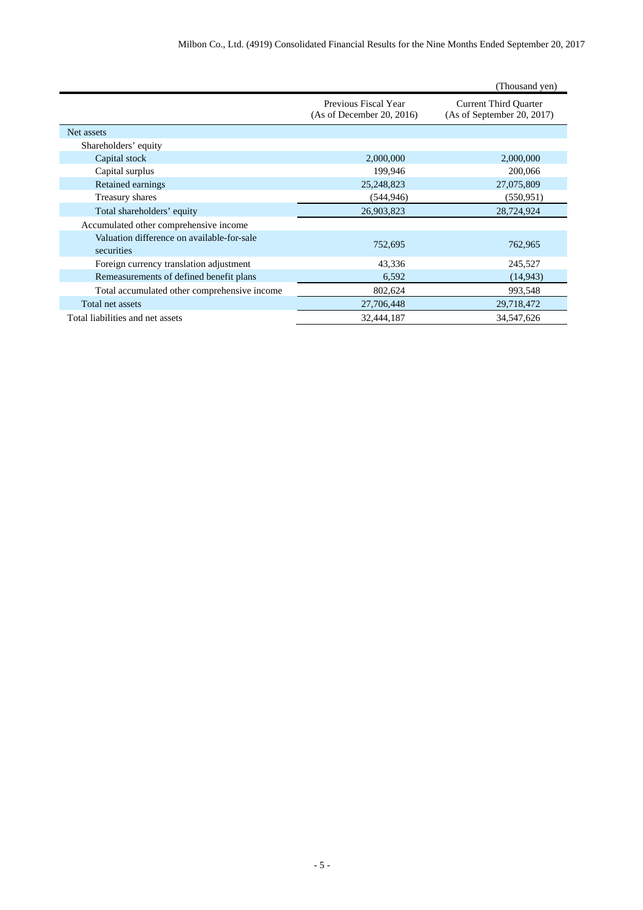|                                                          |                                                   | (Thousand yen)                                             |
|----------------------------------------------------------|---------------------------------------------------|------------------------------------------------------------|
|                                                          | Previous Fiscal Year<br>(As of December 20, 2016) | <b>Current Third Quarter</b><br>(As of September 20, 2017) |
| Net assets                                               |                                                   |                                                            |
| Shareholders' equity                                     |                                                   |                                                            |
| Capital stock                                            | 2,000,000                                         | 2,000,000                                                  |
| Capital surplus                                          | 199,946                                           | 200,066                                                    |
| Retained earnings                                        | 25,248,823                                        | 27,075,809                                                 |
| Treasury shares                                          | (544, 946)                                        | (550.951)                                                  |
| Total shareholders' equity                               | 26,903,823                                        | 28,724,924                                                 |
| Accumulated other comprehensive income                   |                                                   |                                                            |
| Valuation difference on available-for-sale<br>securities | 752,695                                           | 762,965                                                    |
| Foreign currency translation adjustment                  | 43,336                                            | 245,527                                                    |
| Remeasurements of defined benefit plans                  | 6,592                                             | (14, 943)                                                  |
| Total accumulated other comprehensive income             | 802,624                                           | 993,548                                                    |
| Total net assets                                         | 27,706,448                                        | 29,718,472                                                 |
| Total liabilities and net assets                         | 32,444,187                                        | 34,547,626                                                 |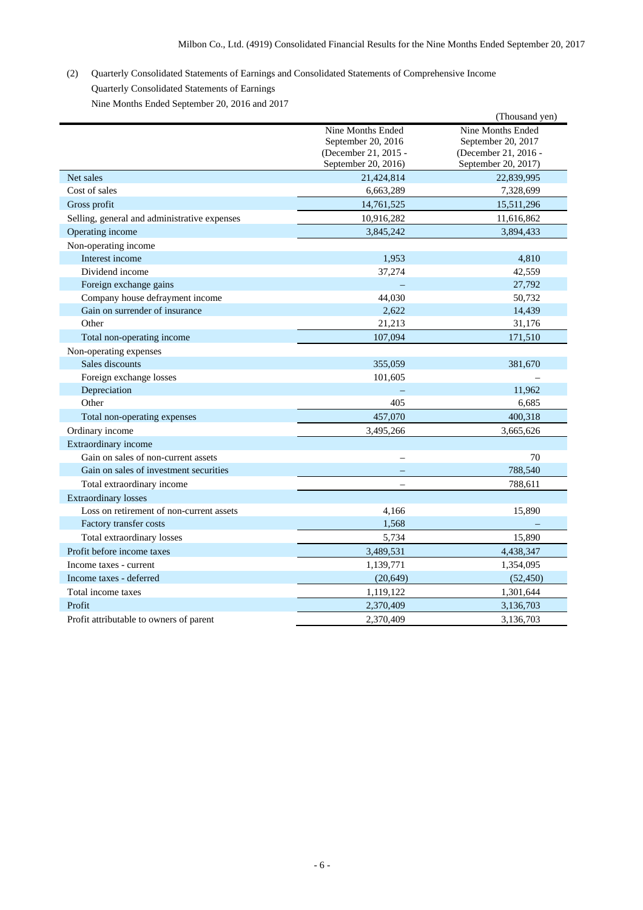# (2) Quarterly Consolidated Statements of Earnings and Consolidated Statements of Comprehensive Income Quarterly Consolidated Statements of Earnings

Nine Months Ended September 20, 2016 and 2017

|                                              |                                                                 | (Thousand yen)                                                  |
|----------------------------------------------|-----------------------------------------------------------------|-----------------------------------------------------------------|
|                                              | Nine Months Ended<br>September 20, 2016<br>(December 21, 2015 - | Nine Months Ended<br>September 20, 2017<br>(December 21, 2016 - |
|                                              | September 20, 2016)                                             | September 20, 2017)                                             |
| Net sales                                    | 21,424,814                                                      | 22,839,995                                                      |
| Cost of sales                                | 6,663,289                                                       | 7,328,699                                                       |
| Gross profit                                 | 14,761,525                                                      | 15,511,296                                                      |
| Selling, general and administrative expenses | 10,916,282                                                      | 11,616,862                                                      |
| Operating income                             | 3,845,242                                                       | 3,894,433                                                       |
| Non-operating income                         |                                                                 |                                                                 |
| Interest income                              | 1,953                                                           | 4,810                                                           |
| Dividend income                              | 37,274                                                          | 42,559                                                          |
| Foreign exchange gains                       |                                                                 | 27,792                                                          |
| Company house defrayment income              | 44,030                                                          | 50,732                                                          |
| Gain on surrender of insurance               | 2,622                                                           | 14,439                                                          |
| Other                                        | 21,213                                                          | 31,176                                                          |
| Total non-operating income                   | 107,094                                                         | 171,510                                                         |
| Non-operating expenses                       |                                                                 |                                                                 |
| Sales discounts                              | 355,059                                                         | 381,670                                                         |
| Foreign exchange losses                      | 101,605                                                         |                                                                 |
| Depreciation                                 |                                                                 | 11,962                                                          |
| Other                                        | 405                                                             | 6,685                                                           |
| Total non-operating expenses                 | 457,070                                                         | 400,318                                                         |
| Ordinary income                              | 3,495,266                                                       | 3,665,626                                                       |
| Extraordinary income                         |                                                                 |                                                                 |
| Gain on sales of non-current assets          |                                                                 | 70                                                              |
| Gain on sales of investment securities       |                                                                 | 788,540                                                         |
| Total extraordinary income                   |                                                                 | 788,611                                                         |
| <b>Extraordinary losses</b>                  |                                                                 |                                                                 |
| Loss on retirement of non-current assets     | 4,166                                                           | 15,890                                                          |
| Factory transfer costs                       | 1,568                                                           |                                                                 |
| Total extraordinary losses                   | 5,734                                                           | 15,890                                                          |
| Profit before income taxes                   | 3,489,531                                                       | 4,438,347                                                       |
| Income taxes - current                       | 1,139,771                                                       | 1,354,095                                                       |
| Income taxes - deferred                      | (20, 649)                                                       | (52, 450)                                                       |
| Total income taxes                           | 1,119,122                                                       | 1,301,644                                                       |
| Profit                                       | 2,370,409                                                       | 3,136,703                                                       |
| Profit attributable to owners of parent      | 2,370,409                                                       | 3,136,703                                                       |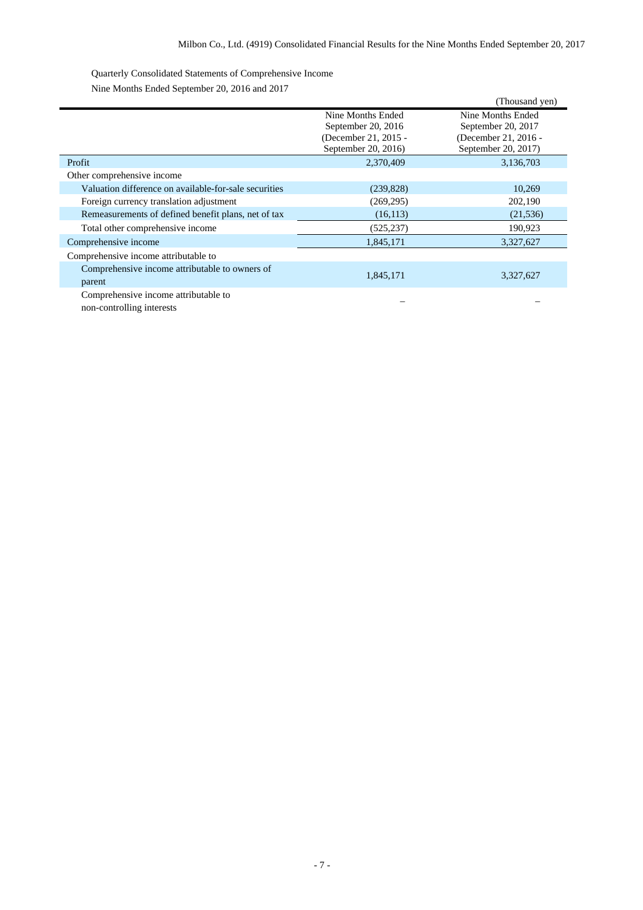Quarterly Consolidated Statements of Comprehensive Income Nine Months Ended September 20, 2016 and 2017

|                                                       |                      | (Thousand yen)       |
|-------------------------------------------------------|----------------------|----------------------|
|                                                       | Nine Months Ended    | Nine Months Ended    |
|                                                       | September 20, 2016   | September 20, 2017   |
|                                                       | (December 21, 2015 - | (December 21, 2016 - |
|                                                       | September 20, 2016)  | September 20, 2017)  |
| Profit                                                | 2,370,409            | 3,136,703            |
| Other comprehensive income                            |                      |                      |
| Valuation difference on available-for-sale securities | (239, 828)           | 10,269               |
| Foreign currency translation adjustment               | (269, 295)           | 202,190              |
| Remeasurements of defined benefit plans, net of tax   | (16, 113)            | (21, 536)            |
| Total other comprehensive income                      | (525, 237)           | 190,923              |
| Comprehensive income                                  | 1,845,171            | 3,327,627            |
| Comprehensive income attributable to                  |                      |                      |
| Comprehensive income attributable to owners of        | 1,845,171            | 3,327,627            |
| parent                                                |                      |                      |
| Comprehensive income attributable to                  |                      |                      |

non-controlling interests – –